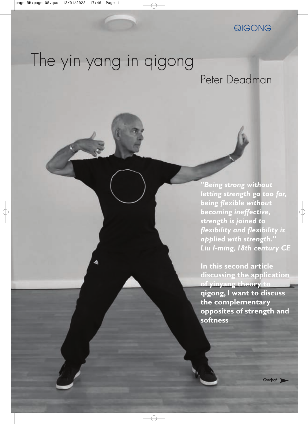### QIGONG

# The yin yang in qigong

### Peter Deadman

*"Being strong without letting strength go too far, being flexible without becoming ineffective, strength is joined to flexibility and flexibility is applied with strength." Liu I-ming, 18th century CE*

**In this second article discussing the application of yinyang theory to qigong, I want to discuss the complementary opposites of strength and softness**

**Overleaf**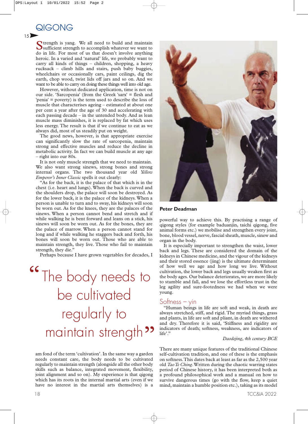**QIGONG** 

Strength is yang. We all need to build and maintain<br>Sufficient strength to accomplish whatever we want to do in life. For most of us that doesn't involve anything heroic. In a varied and 'natural' life, we probably want to carry all kinds of things – children, shopping, a heavy rucksack – climb hills and stairs, push baby buggies, wheelchairs or occasionally cars, paint ceilings, dig the earth, chop wood, twist lids off jars and so on. And we want to be able to carry on doing these things well into old age.

However, without dedicated application, time is not on our side. 'Sarcopenia' (from the Greek 'sarx' = flesh and 'penia' = poverty) is the term used to describe the loss of muscle that characterises ageing – estimated at about one per cent a year after the age of 30 and accelerating with each passing decade – in the untended body. And as lean muscle mass diminishes, it is replaced by fat which uses less energy. The result is that if we continue to eat as we always did, most of us steadily put on weight.

The good news, however, is that appropriate exercise can significantly slow the rate of sarcopenia, maintain strong and effective muscles and reduce the decline in metabolic activity. In fact we can build muscle at any age – right into our 80s.

It is not only muscle strength that we need to maintain. We also want strong sinews, strong bones and strong internal organs. The two thousand year old *Yellow Emperor's Inner Classic* spells it out clearly:

"As for the back, it is the palace of that which is in the chest (i.e. heart and lungs).When the back is curved and the shoulders drop, the palace will soon be destroyed. As for the lower back, it is the palace of the kidneys.When a person is unable to turn and to sway, his kidneys will soon be worn out. As for the knees, they are the palaces of the sinews. When a person cannot bend and stretch and if while walking he is bent forward and leans on a stick, his sinews will soon be worn out. As for the bones, they are the palace of marrow. When a person cannot stand for long and if while walking he staggers back and forth, his bones will soon be worn out. Those who are able to maintain strength, they live. Those who fail to maintain strength, they die."

Perhaps because I have grown vegetables for decades, I

# <sup>"</sup>The body needs to be cultivated regularly to maintain strength<sup>99</sup>

am fond of the term 'cultivation'. In the same way a garden needs constant care, the body needs to be cultivated regularly to maintain strength (alongside all the other body skills such as balance, integrated movement, flexibility, joint alignment and so on). My experience is that qigong which has its roots in the internal martial arts (even if we have no interest in the martial arts themselves) is a





#### **Peter Deadman**

powerful way to achieve this. By practising a range of qigong styles (for example baduanjin, taichi qigong, five animal forms etc.) we mobilise and strengthen every joint, bone, blood vessel, nerve, fascial sheath, muscle, sinew and organ in the body.

It is especially important to strengthen the waist, lower back and legs. These are considered the domain of the kidneys in Chinese medicine, and the vigour of the kidneys and their stored essence (jing) is the ultimate determinant of how well we age and how long we live. Without cultivation, the lower back and legs usually weaken first as the body ages. Our balance deteriorates, we are more likely to stumble and fall, and we lose the effortless trust in the leg agility and sure-footedness we had when we were

#### Sottness – yin

"Human beings in life are soft and weak, in death are always stretched, stiff, and rigid. The myriad things, grass and plants, in life are soft and pliant, in death are withered and dry. Therefore it is said, 'Stiffness and rigidity are indicators of death; softness, weakness, are indicators of life'."

#### *Daodejing, 4th century BCE*

There are many unique features of the traditional Chinese self-cultivation tradition, and one of these is the emphasis on softness.This dates back at least as far as the 2,500 year old *Tao Te Ching*.Written during the chaotic warring states period of Chinese history, it has been interpreted both as a profound philosophical work and a manual on how to survive dangerous times (go with the flow, keep a quiet mind, maintain a humble position etc.), taking as its model